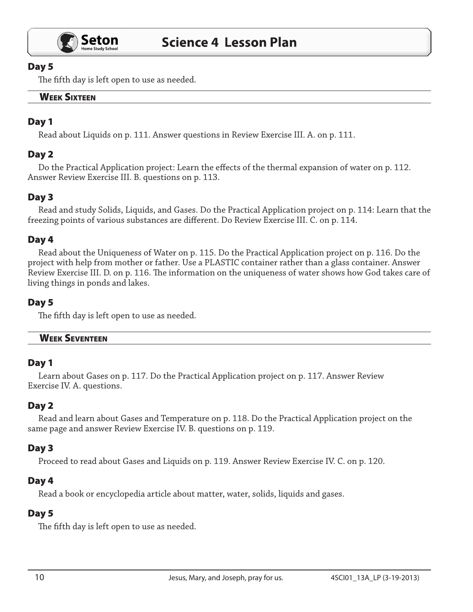

#### Day 5

The fifth day is left open to use as needed.

# **WEEK SIXTEEN**

# Day 1

Read about Liquids on p. 111. Answer questions in Review Exercise III. A. on p. 111.

# Day 2

Do the Practical Application project: Learn the effects of the thermal expansion of water on p. 112. Answer Review Exercise III. B. questions on p. 113.

# Day 3

Read and study Solids, Liquids, and Gases. Do the Practical Application project on p. 114: Learn that the freezing points of various substances are different. Do Review Exercise III. C. on p. 114.

# Day 4

Read about the Uniqueness of Water on p. 115. Do the Practical Application project on p. 116. Do the project with help from mother or father. Use a PLASTIC container rather than a glass container. Answer Review Exercise III. D. on p. 116. The information on the uniqueness of water shows how God takes care of living things in ponds and lakes.

#### Day 5

The fifth day is left open to use as needed.

#### Week Seventeen

# Day 1

Learn about Gases on p. 117. Do the Practical Application project on p. 117. Answer Review Exercise IV. A. questions.

# Day 2

Read and learn about Gases and Temperature on p. 118. Do the Practical Application project on the same page and answer Review Exercise IV. B. questions on p. 119.

# Day 3

Proceed to read about Gases and Liquids on p. 119. Answer Review Exercise IV. C. on p. 120.

#### Day 4

Read a book or encyclopedia article about matter, water, solids, liquids and gases.

# Day 5

The fifth day is left open to use as needed.